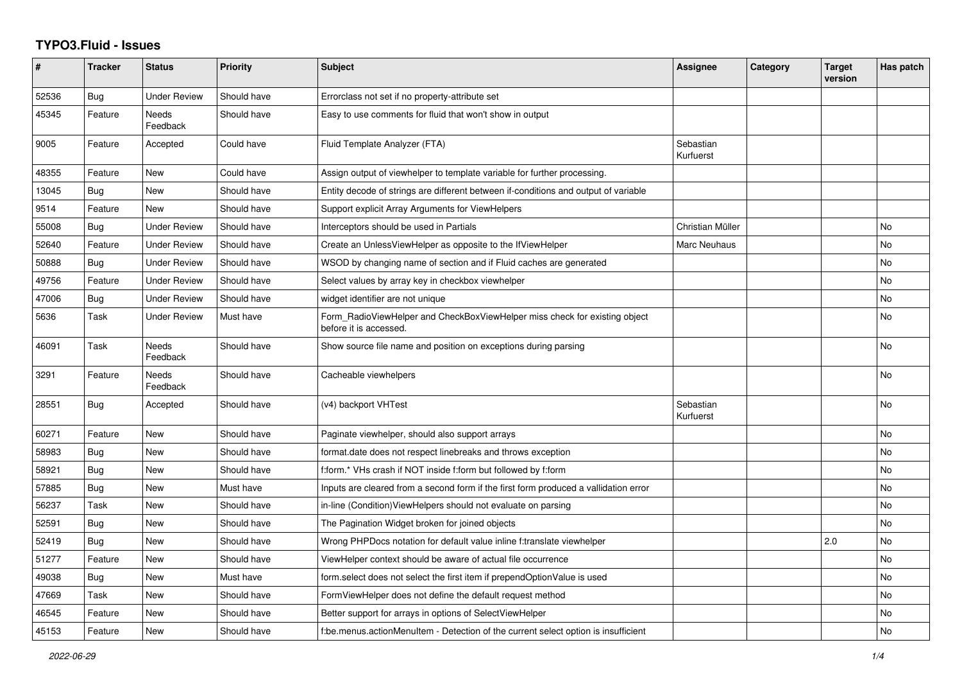## **TYPO3.Fluid - Issues**

| #     | <b>Tracker</b> | <b>Status</b>            | <b>Priority</b> | Subject                                                                                              | <b>Assignee</b>        | Category | <b>Target</b><br>version | Has patch |
|-------|----------------|--------------------------|-----------------|------------------------------------------------------------------------------------------------------|------------------------|----------|--------------------------|-----------|
| 52536 | Bug            | <b>Under Review</b>      | Should have     | Errorclass not set if no property-attribute set                                                      |                        |          |                          |           |
| 45345 | Feature        | <b>Needs</b><br>Feedback | Should have     | Easy to use comments for fluid that won't show in output                                             |                        |          |                          |           |
| 9005  | Feature        | Accepted                 | Could have      | Fluid Template Analyzer (FTA)                                                                        | Sebastian<br>Kurfuerst |          |                          |           |
| 48355 | Feature        | New                      | Could have      | Assign output of viewhelper to template variable for further processing.                             |                        |          |                          |           |
| 13045 | Bug            | New                      | Should have     | Entity decode of strings are different between if-conditions and output of variable                  |                        |          |                          |           |
| 9514  | Feature        | New                      | Should have     | Support explicit Array Arguments for ViewHelpers                                                     |                        |          |                          |           |
| 55008 | Bug            | <b>Under Review</b>      | Should have     | Interceptors should be used in Partials                                                              | Christian Müller       |          |                          | <b>No</b> |
| 52640 | Feature        | <b>Under Review</b>      | Should have     | Create an UnlessViewHelper as opposite to the IfViewHelper                                           | Marc Neuhaus           |          |                          | No        |
| 50888 | Bug            | <b>Under Review</b>      | Should have     | WSOD by changing name of section and if Fluid caches are generated                                   |                        |          |                          | No        |
| 49756 | Feature        | <b>Under Review</b>      | Should have     | Select values by array key in checkbox viewhelper                                                    |                        |          |                          | <b>No</b> |
| 47006 | Bug            | <b>Under Review</b>      | Should have     | widget identifier are not unique                                                                     |                        |          |                          | <b>No</b> |
| 5636  | Task           | <b>Under Review</b>      | Must have       | Form_RadioViewHelper and CheckBoxViewHelper miss check for existing object<br>before it is accessed. |                        |          |                          | No        |
| 46091 | Task           | Needs<br>Feedback        | Should have     | Show source file name and position on exceptions during parsing                                      |                        |          |                          | No        |
| 3291  | Feature        | <b>Needs</b><br>Feedback | Should have     | Cacheable viewhelpers                                                                                |                        |          |                          | <b>No</b> |
| 28551 | Bug            | Accepted                 | Should have     | (v4) backport VHTest                                                                                 | Sebastian<br>Kurfuerst |          |                          | <b>No</b> |
| 60271 | Feature        | New                      | Should have     | Paginate viewhelper, should also support arrays                                                      |                        |          |                          | <b>No</b> |
| 58983 | Bug            | <b>New</b>               | Should have     | format.date does not respect linebreaks and throws exception                                         |                        |          |                          | <b>No</b> |
| 58921 | Bug            | <b>New</b>               | Should have     | f:form.* VHs crash if NOT inside f:form but followed by f:form                                       |                        |          |                          | <b>No</b> |
| 57885 | Bug            | New                      | Must have       | Inputs are cleared from a second form if the first form produced a vallidation error                 |                        |          |                          | No        |
| 56237 | Task           | <b>New</b>               | Should have     | in-line (Condition) View Helpers should not evaluate on parsing                                      |                        |          |                          | <b>No</b> |
| 52591 | Bug            | New                      | Should have     | The Pagination Widget broken for joined objects                                                      |                        |          |                          | No        |
| 52419 | Bug            | New                      | Should have     | Wrong PHPDocs notation for default value inline f:translate viewhelper                               |                        |          | 2.0                      | <b>No</b> |
| 51277 | Feature        | <b>New</b>               | Should have     | ViewHelper context should be aware of actual file occurrence                                         |                        |          |                          | <b>No</b> |
| 49038 | Bug            | New                      | Must have       | form.select does not select the first item if prependOptionValue is used                             |                        |          |                          | No        |
| 47669 | Task           | <b>New</b>               | Should have     | FormViewHelper does not define the default request method                                            |                        |          |                          | No        |
| 46545 | Feature        | New                      | Should have     | Better support for arrays in options of SelectViewHelper                                             |                        |          |                          | <b>No</b> |
| 45153 | Feature        | <b>New</b>               | Should have     | f:be.menus.actionMenuItem - Detection of the current select option is insufficient                   |                        |          |                          | <b>No</b> |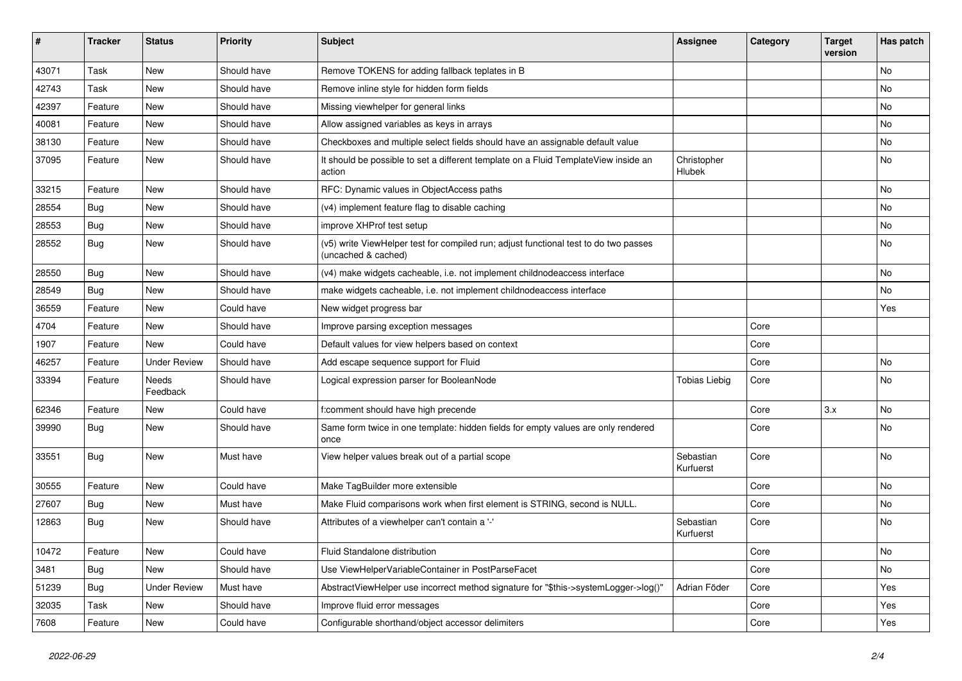| ∦     | <b>Tracker</b> | <b>Status</b>            | <b>Priority</b> | <b>Subject</b>                                                                                              | Assignee               | Category | <b>Target</b><br>version | Has patch |
|-------|----------------|--------------------------|-----------------|-------------------------------------------------------------------------------------------------------------|------------------------|----------|--------------------------|-----------|
| 43071 | Task           | New                      | Should have     | Remove TOKENS for adding fallback teplates in B                                                             |                        |          |                          | No        |
| 42743 | Task           | New                      | Should have     | Remove inline style for hidden form fields                                                                  |                        |          |                          | No        |
| 42397 | Feature        | New                      | Should have     | Missing viewhelper for general links                                                                        |                        |          |                          | No        |
| 40081 | Feature        | New                      | Should have     | Allow assigned variables as keys in arrays                                                                  |                        |          |                          | No        |
| 38130 | Feature        | New                      | Should have     | Checkboxes and multiple select fields should have an assignable default value                               |                        |          |                          | No        |
| 37095 | Feature        | New                      | Should have     | It should be possible to set a different template on a Fluid TemplateView inside an<br>action               | Christopher<br>Hlubek  |          |                          | No        |
| 33215 | Feature        | <b>New</b>               | Should have     | RFC: Dynamic values in ObjectAccess paths                                                                   |                        |          |                          | No        |
| 28554 | Bug            | New                      | Should have     | (v4) implement feature flag to disable caching                                                              |                        |          |                          | No        |
| 28553 | Bug            | New                      | Should have     | improve XHProf test setup                                                                                   |                        |          |                          | No        |
| 28552 | Bug            | New                      | Should have     | (v5) write ViewHelper test for compiled run; adjust functional test to do two passes<br>(uncached & cached) |                        |          |                          | No        |
| 28550 | Bug            | New                      | Should have     | (v4) make widgets cacheable, i.e. not implement childnodeaccess interface                                   |                        |          |                          | No        |
| 28549 | <b>Bug</b>     | <b>New</b>               | Should have     | make widgets cacheable, i.e. not implement childnodeaccess interface                                        |                        |          |                          | No        |
| 36559 | Feature        | New                      | Could have      | New widget progress bar                                                                                     |                        |          |                          | Yes       |
| 4704  | Feature        | New                      | Should have     | Improve parsing exception messages                                                                          |                        | Core     |                          |           |
| 1907  | Feature        | <b>New</b>               | Could have      | Default values for view helpers based on context                                                            |                        | Core     |                          |           |
| 46257 | Feature        | <b>Under Review</b>      | Should have     | Add escape sequence support for Fluid                                                                       |                        | Core     |                          | No        |
| 33394 | Feature        | <b>Needs</b><br>Feedback | Should have     | Logical expression parser for BooleanNode                                                                   | <b>Tobias Liebig</b>   | Core     |                          | No        |
| 62346 | Feature        | New                      | Could have      | f:comment should have high precende                                                                         |                        | Core     | 3.x                      | No        |
| 39990 | Bug            | New                      | Should have     | Same form twice in one template: hidden fields for empty values are only rendered<br>once                   |                        | Core     |                          | No        |
| 33551 | <b>Bug</b>     | New                      | Must have       | View helper values break out of a partial scope                                                             | Sebastian<br>Kurfuerst | Core     |                          | No        |
| 30555 | Feature        | <b>New</b>               | Could have      | Make TagBuilder more extensible                                                                             |                        | Core     |                          | No        |
| 27607 | Bug            | New                      | Must have       | Make Fluid comparisons work when first element is STRING, second is NULL.                                   |                        | Core     |                          | No        |
| 12863 | Bug            | New                      | Should have     | Attributes of a viewhelper can't contain a '-'                                                              | Sebastian<br>Kurfuerst | Core     |                          | No        |
| 10472 | Feature        | New                      | Could have      | Fluid Standalone distribution                                                                               |                        | Core     |                          | No        |
| 3481  | Bug            | New                      | Should have     | Use ViewHelperVariableContainer in PostParseFacet                                                           |                        | Core     |                          | No        |
| 51239 | Bug            | <b>Under Review</b>      | Must have       | AbstractViewHelper use incorrect method signature for "\$this->systemLogger->log()"                         | Adrian Föder           | Core     |                          | Yes       |
| 32035 | Task           | New                      | Should have     | Improve fluid error messages                                                                                |                        | Core     |                          | Yes       |
| 7608  | Feature        | New                      | Could have      | Configurable shorthand/object accessor delimiters                                                           |                        | Core     |                          | Yes       |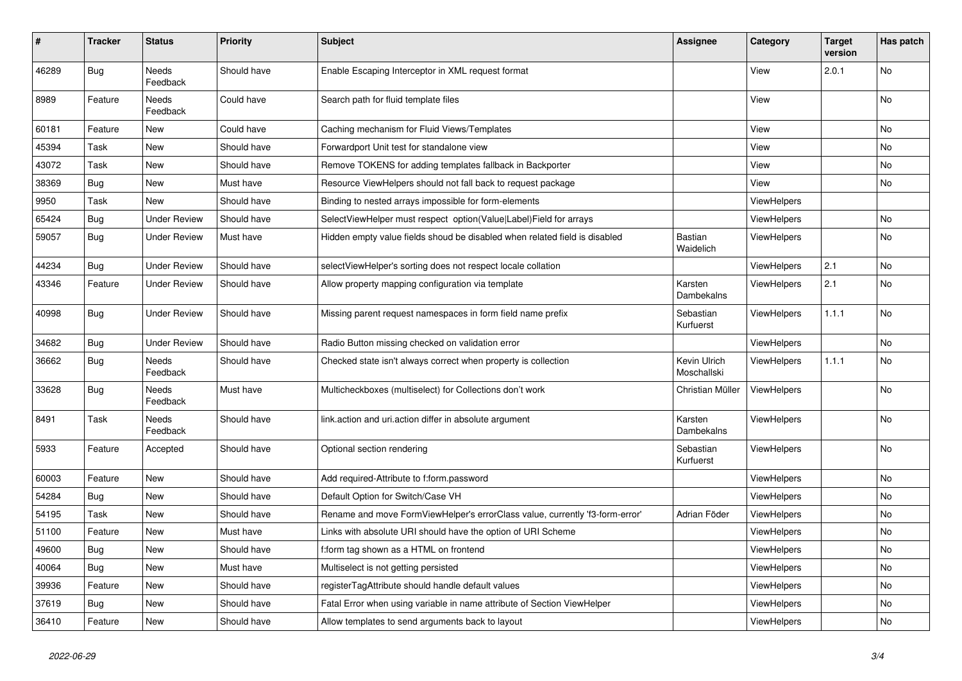| $\vert$ # | <b>Tracker</b> | <b>Status</b>       | <b>Priority</b> | <b>Subject</b>                                                               | Assignee                    | Category           | <b>Target</b><br>version | Has patch |
|-----------|----------------|---------------------|-----------------|------------------------------------------------------------------------------|-----------------------------|--------------------|--------------------------|-----------|
| 46289     | <b>Bug</b>     | Needs<br>Feedback   | Should have     | Enable Escaping Interceptor in XML request format                            |                             | View               | 2.0.1                    | No        |
| 8989      | Feature        | Needs<br>Feedback   | Could have      | Search path for fluid template files                                         |                             | View               |                          | No        |
| 60181     | Feature        | New                 | Could have      | Caching mechanism for Fluid Views/Templates                                  |                             | View               |                          | <b>No</b> |
| 45394     | Task           | New                 | Should have     | Forwardport Unit test for standalone view                                    |                             | View               |                          | No        |
| 43072     | Task           | New                 | Should have     | Remove TOKENS for adding templates fallback in Backporter                    |                             | View               |                          | No        |
| 38369     | Bug            | New                 | Must have       | Resource ViewHelpers should not fall back to request package                 |                             | View               |                          | <b>No</b> |
| 9950      | Task           | New                 | Should have     | Binding to nested arrays impossible for form-elements                        |                             | ViewHelpers        |                          |           |
| 65424     | <b>Bug</b>     | Under Review        | Should have     | SelectViewHelper must respect option(Value Label)Field for arrays            |                             | ViewHelpers        |                          | <b>No</b> |
| 59057     | Bug            | Under Review        | Must have       | Hidden empty value fields shoud be disabled when related field is disabled   | <b>Bastian</b><br>Waidelich | <b>ViewHelpers</b> |                          | <b>No</b> |
| 44234     | <b>Bug</b>     | <b>Under Review</b> | Should have     | selectViewHelper's sorting does not respect locale collation                 |                             | <b>ViewHelpers</b> | 2.1                      | <b>No</b> |
| 43346     | Feature        | <b>Under Review</b> | Should have     | Allow property mapping configuration via template                            | Karsten<br>Dambekalns       | <b>ViewHelpers</b> | 2.1                      | <b>No</b> |
| 40998     | Bug            | Under Review        | Should have     | Missing parent request namespaces in form field name prefix                  | Sebastian<br>Kurfuerst      | <b>ViewHelpers</b> | 1.1.1                    | No        |
| 34682     | <b>Bug</b>     | <b>Under Review</b> | Should have     | Radio Button missing checked on validation error                             |                             | ViewHelpers        |                          | <b>No</b> |
| 36662     | Bug            | Needs<br>Feedback   | Should have     | Checked state isn't always correct when property is collection               | Kevin Ulrich<br>Moschallski | ViewHelpers        | 1.1.1                    | No        |
| 33628     | <b>Bug</b>     | Needs<br>Feedback   | Must have       | Multicheckboxes (multiselect) for Collections don't work                     | Christian Müller            | ViewHelpers        |                          | <b>No</b> |
| 8491      | Task           | Needs<br>Feedback   | Should have     | link.action and uri.action differ in absolute argument                       | Karsten<br>Dambekalns       | <b>ViewHelpers</b> |                          | No        |
| 5933      | Feature        | Accepted            | Should have     | Optional section rendering                                                   | Sebastian<br>Kurfuerst      | ViewHelpers        |                          | No        |
| 60003     | Feature        | New                 | Should have     | Add required-Attribute to f:form.password                                    |                             | ViewHelpers        |                          | <b>No</b> |
| 54284     | Bug            | New                 | Should have     | Default Option for Switch/Case VH                                            |                             | ViewHelpers        |                          | No        |
| 54195     | Task           | New                 | Should have     | Rename and move FormViewHelper's errorClass value, currently 'f3-form-error' | Adrian Föder                | <b>ViewHelpers</b> |                          | No        |
| 51100     | Feature        | New                 | Must have       | Links with absolute URI should have the option of URI Scheme                 |                             | ViewHelpers        |                          | <b>No</b> |
| 49600     | <b>Bug</b>     | <b>New</b>          | Should have     | f:form tag shown as a HTML on frontend                                       |                             | <b>ViewHelpers</b> |                          | <b>No</b> |
| 40064     | Bug            | New                 | Must have       | Multiselect is not getting persisted                                         |                             | ViewHelpers        |                          | <b>No</b> |
| 39936     | Feature        | <b>New</b>          | Should have     | registerTagAttribute should handle default values                            |                             | <b>ViewHelpers</b> |                          | No        |
| 37619     | Bug            | New                 | Should have     | Fatal Error when using variable in name attribute of Section ViewHelper      |                             | ViewHelpers        |                          | <b>No</b> |
| 36410     | Feature        | New                 | Should have     | Allow templates to send arguments back to layout                             |                             | ViewHelpers        |                          | No        |